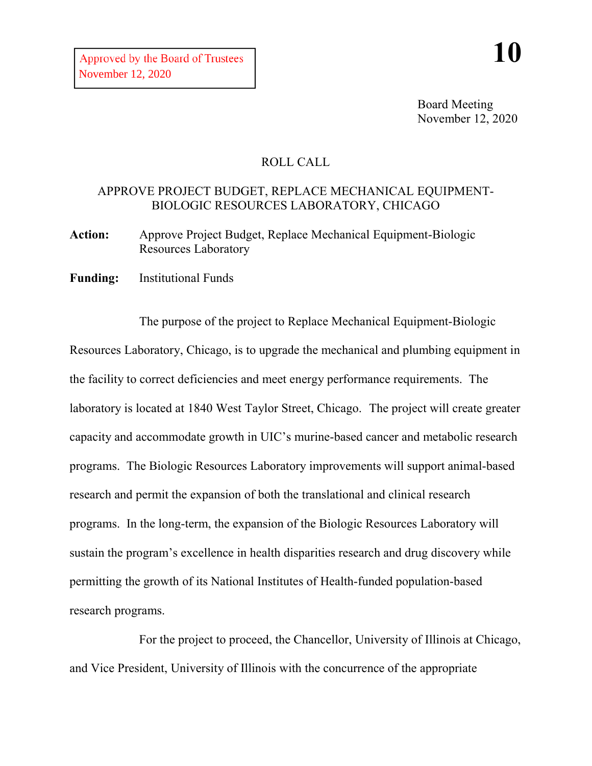Board Meeting November 12, 2020

## ROLL CALL

## APPROVE PROJECT BUDGET, REPLACE MECHANICAL EQUIPMENT-BIOLOGIC RESOURCES LABORATORY, CHICAGO

**Action:** Approve Project Budget, Replace Mechanical Equipment-Biologic Resources Laboratory

**Funding:** Institutional Funds

The purpose of the project to Replace Mechanical Equipment-Biologic Resources Laboratory, Chicago, is to upgrade the mechanical and plumbing equipment in the facility to correct deficiencies and meet energy performance requirements. The laboratory is located at 1840 West Taylor Street, Chicago. The project will create greater capacity and accommodate growth in UIC's murine-based cancer and metabolic research programs. The Biologic Resources Laboratory improvements will support animal-based research and permit the expansion of both the translational and clinical research programs. In the long-term, the expansion of the Biologic Resources Laboratory will sustain the program's excellence in health disparities research and drug discovery while permitting the growth of its National Institutes of Health-funded population-based research programs.

For the project to proceed, the Chancellor, University of Illinois at Chicago, and Vice President, University of Illinois with the concurrence of the appropriate